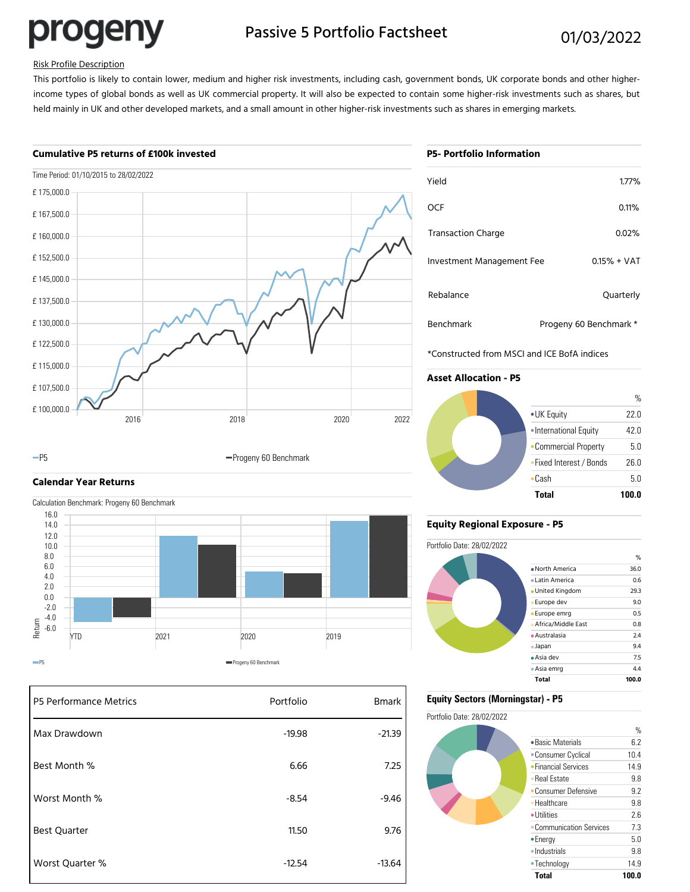progeny

# Passive 5 Portfolio Factsheet 01/03/2022

## Risk Profile Description

This portfolio is likely to contain lower, medium and higher risk investments, including cash, government bonds, UK corporate bonds and other higherincome types of global bonds as well as UK commercial property. It will also be expected to contain some higher-risk investments such as shares, but held mainly in UK and other developed markets, and a small amount in other higher-risk investments such as shares in emerging markets.

## **Cumulative P5 returns of £100k invested**



### -P5 **Progeny 60 Benchmark**

**Calendar Year Returns**

Calculation Benchmark: Progeny 60 Benchmark YTD 2021 2020 2019 -6.0 -4.0 -2.0 0.0 2.0 4.0 6.0 8.0 10.0 12.0 14.0 16.0  $\frac{2021}{2021}$  Progeny 60 Benchmark<br>
PFS

| P5 Performance Metrics | Portfolio | <b>Bmark</b> |
|------------------------|-----------|--------------|
| Max Drawdown           | $-19.98$  | $-21.39$     |
| Best Month %           | 6.66      | 7.25         |
| Worst Month %          | $-8.54$   | $-9.46$      |
| <b>Best Quarter</b>    | 11.50     | 9.76         |
| Worst Quarter %        | $-12.54$  | $-13.64$     |

|  | <b>P5- Portfolio Information</b> |  |
|--|----------------------------------|--|

| Yield                     | 1.77%                  |
|---------------------------|------------------------|
| OCF                       | 0.11%                  |
| <b>Transaction Charge</b> | $0.02\%$               |
| Investment Management Fee | $0.15% + VAT$          |
| Rebalance                 | Quarterly              |
| <b>Benchmark</b>          | Progeny 60 Benchmark * |

\*Constructed from MSCI and ICE BofA indices

## **Asset Allocation - P5**



## **Equity Regional Exposure - P5**



## **Equity Sectors (Morningstar) - P5**